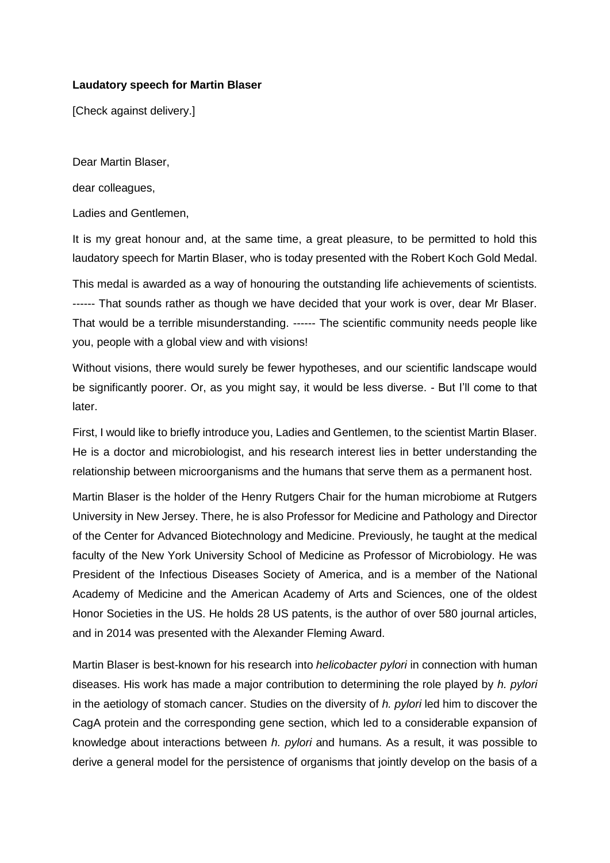## **Laudatory speech for Martin Blaser**

[Check against delivery.]

Dear Martin Blaser,

dear colleagues,

Ladies and Gentlemen,

It is my great honour and, at the same time, a great pleasure, to be permitted to hold this laudatory speech for Martin Blaser, who is today presented with the Robert Koch Gold Medal.

This medal is awarded as a way of honouring the outstanding life achievements of scientists. ------ That sounds rather as though we have decided that your work is over, dear Mr Blaser. That would be a terrible misunderstanding. ------ The scientific community needs people like you, people with a global view and with visions!

Without visions, there would surely be fewer hypotheses, and our scientific landscape would be significantly poorer. Or, as you might say, it would be less diverse. - But I'll come to that later.

First, I would like to briefly introduce you, Ladies and Gentlemen, to the scientist Martin Blaser. He is a doctor and microbiologist, and his research interest lies in better understanding the relationship between microorganisms and the humans that serve them as a permanent host.

Martin Blaser is the holder of the Henry Rutgers Chair for the human microbiome at Rutgers University in New Jersey. There, he is also Professor for Medicine and Pathology and Director of the Center for Advanced Biotechnology and Medicine. Previously, he taught at the medical faculty of the New York University School of Medicine as Professor of Microbiology. He was President of the Infectious Diseases Society of America, and is a member of the National Academy of Medicine and the American Academy of Arts and Sciences, one of the oldest Honor Societies in the US. He holds 28 US patents, is the author of over 580 journal articles, and in 2014 was presented with the Alexander Fleming Award.

Martin Blaser is best-known for his research into *helicobacter pylori* in connection with human diseases. His work has made a major contribution to determining the role played by *h. pylori* in the aetiology of stomach cancer. Studies on the diversity of *h. pylori* led him to discover the CagA protein and the corresponding gene section, which led to a considerable expansion of knowledge about interactions between *h. pylori* and humans. As a result, it was possible to derive a general model for the persistence of organisms that jointly develop on the basis of a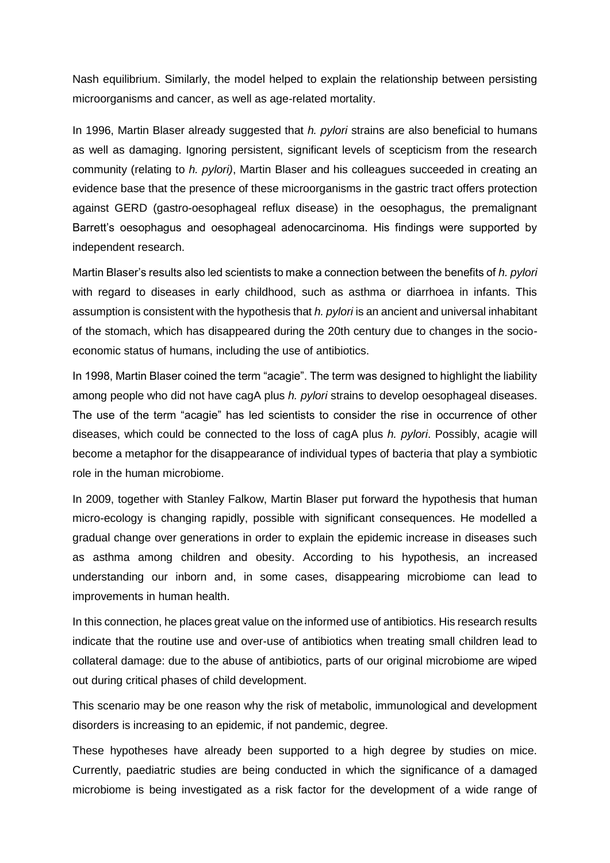Nash equilibrium. Similarly, the model helped to explain the relationship between persisting microorganisms and cancer, as well as age-related mortality.

In 1996, Martin Blaser already suggested that *h. pylori* strains are also beneficial to humans as well as damaging. Ignoring persistent, significant levels of scepticism from the research community (relating to *h. pylori)*, Martin Blaser and his colleagues succeeded in creating an evidence base that the presence of these microorganisms in the gastric tract offers protection against GERD (gastro-oesophageal reflux disease) in the oesophagus, the premalignant Barrett's oesophagus and oesophageal adenocarcinoma. His findings were supported by independent research.

Martin Blaser's results also led scientists to make a connection between the benefits of *h. pylori* with regard to diseases in early childhood, such as asthma or diarrhoea in infants. This assumption is consistent with the hypothesis that *h. pylori* is an ancient and universal inhabitant of the stomach, which has disappeared during the 20th century due to changes in the socioeconomic status of humans, including the use of antibiotics.

In 1998, Martin Blaser coined the term "acagie". The term was designed to highlight the liability among people who did not have cagA plus *h. pylori* strains to develop oesophageal diseases. The use of the term "acagie" has led scientists to consider the rise in occurrence of other diseases, which could be connected to the loss of cagA plus *h. pylori*. Possibly, acagie will become a metaphor for the disappearance of individual types of bacteria that play a symbiotic role in the human microbiome.

In 2009, together with Stanley Falkow, Martin Blaser put forward the hypothesis that human micro-ecology is changing rapidly, possible with significant consequences. He modelled a gradual change over generations in order to explain the epidemic increase in diseases such as asthma among children and obesity. According to his hypothesis, an increased understanding our inborn and, in some cases, disappearing microbiome can lead to improvements in human health.

In this connection, he places great value on the informed use of antibiotics. His research results indicate that the routine use and over-use of antibiotics when treating small children lead to collateral damage: due to the abuse of antibiotics, parts of our original microbiome are wiped out during critical phases of child development.

This scenario may be one reason why the risk of metabolic, immunological and development disorders is increasing to an epidemic, if not pandemic, degree.

These hypotheses have already been supported to a high degree by studies on mice. Currently, paediatric studies are being conducted in which the significance of a damaged microbiome is being investigated as a risk factor for the development of a wide range of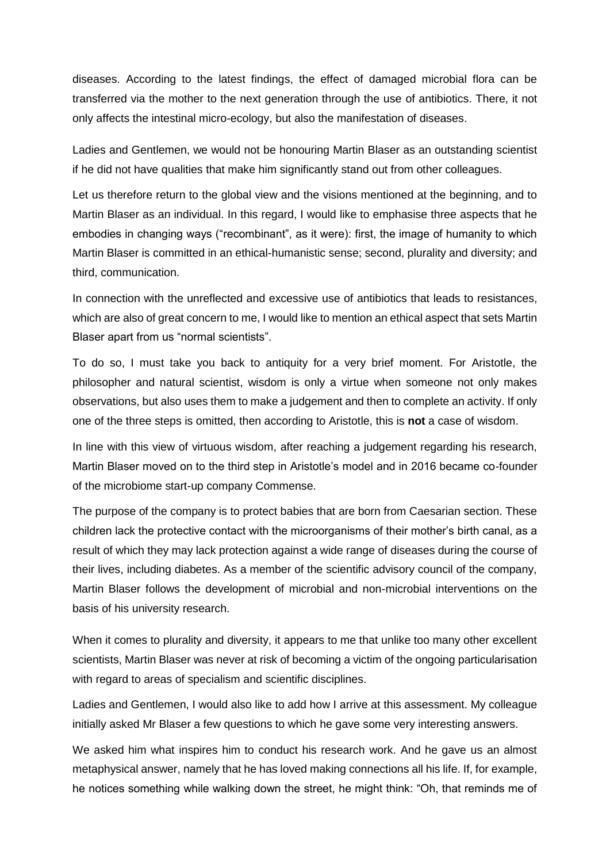diseases. According to the latest findings, the effect of damaged microbial flora can be transferred via the mother to the next generation through the use of antibiotics. There, it not only affects the intestinal micro-ecology, but also the manifestation of diseases.

Ladies and Gentlemen, we would not be honouring Martin Blaser as an outstanding scientist if he did not have qualities that make him significantly stand out from other colleagues.

Let us therefore return to the global view and the visions mentioned at the beginning, and to Martin Blaser as an individual. In this regard, I would like to emphasise three aspects that he embodies in changing ways ("recombinant", as it were): first, the image of humanity to which Martin Blaser is committed in an ethical-humanistic sense; second, plurality and diversity; and third, communication.

In connection with the unreflected and excessive use of antibiotics that leads to resistances, which are also of great concern to me, I would like to mention an ethical aspect that sets Martin Blaser apart from us "normal scientists".

To do so, I must take you back to antiquity for a very brief moment. For Aristotle, the philosopher and natural scientist, wisdom is only a virtue when someone not only makes observations, but also uses them to make a judgement and then to complete an activity. If only one of the three steps is omitted, then according to Aristotle, this is **not** a case of wisdom.

In line with this view of virtuous wisdom, after reaching a judgement regarding his research, Martin Blaser moved on to the third step in Aristotle's model and in 2016 became co-founder of the microbiome start-up company Commense.

The purpose of the company is to protect babies that are born from Caesarian section. These children lack the protective contact with the microorganisms of their mother's birth canal, as a result of which they may lack protection against a wide range of diseases during the course of their lives, including diabetes. As a member of the scientific advisory council of the company, Martin Blaser follows the development of microbial and non-microbial interventions on the basis of his university research.

When it comes to plurality and diversity, it appears to me that unlike too many other excellent scientists, Martin Blaser was never at risk of becoming a victim of the ongoing particularisation with regard to areas of specialism and scientific disciplines.

Ladies and Gentlemen, I would also like to add how I arrive at this assessment. My colleague initially asked Mr Blaser a few questions to which he gave some very interesting answers.

We asked him what inspires him to conduct his research work. And he gave us an almost metaphysical answer, namely that he has loved making connections all his life. If, for example, he notices something while walking down the street, he might think: "Oh, that reminds me of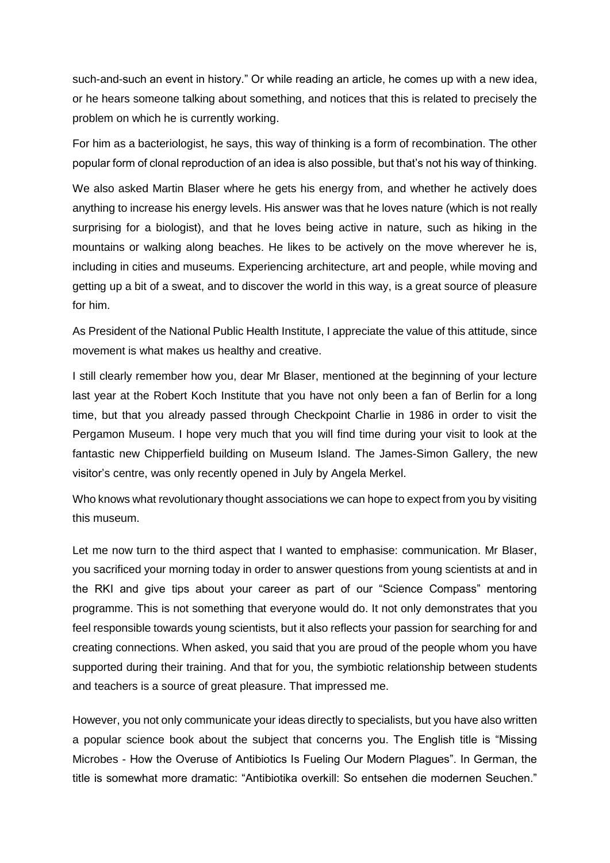such-and-such an event in history." Or while reading an article, he comes up with a new idea, or he hears someone talking about something, and notices that this is related to precisely the problem on which he is currently working.

For him as a bacteriologist, he says, this way of thinking is a form of recombination. The other popular form of clonal reproduction of an idea is also possible, but that's not his way of thinking.

We also asked Martin Blaser where he gets his energy from, and whether he actively does anything to increase his energy levels. His answer was that he loves nature (which is not really surprising for a biologist), and that he loves being active in nature, such as hiking in the mountains or walking along beaches. He likes to be actively on the move wherever he is, including in cities and museums. Experiencing architecture, art and people, while moving and getting up a bit of a sweat, and to discover the world in this way, is a great source of pleasure for him.

As President of the National Public Health Institute, I appreciate the value of this attitude, since movement is what makes us healthy and creative.

I still clearly remember how you, dear Mr Blaser, mentioned at the beginning of your lecture last year at the Robert Koch Institute that you have not only been a fan of Berlin for a long time, but that you already passed through Checkpoint Charlie in 1986 in order to visit the Pergamon Museum. I hope very much that you will find time during your visit to look at the fantastic new Chipperfield building on Museum Island. The James-Simon Gallery, the new visitor's centre, was only recently opened in July by Angela Merkel.

Who knows what revolutionary thought associations we can hope to expect from you by visiting this museum.

Let me now turn to the third aspect that I wanted to emphasise: communication. Mr Blaser, you sacrificed your morning today in order to answer questions from young scientists at and in the RKI and give tips about your career as part of our "Science Compass" mentoring programme. This is not something that everyone would do. It not only demonstrates that you feel responsible towards young scientists, but it also reflects your passion for searching for and creating connections. When asked, you said that you are proud of the people whom you have supported during their training. And that for you, the symbiotic relationship between students and teachers is a source of great pleasure. That impressed me.

However, you not only communicate your ideas directly to specialists, but you have also written a popular science book about the subject that concerns you. The English title is "Missing Microbes - How the Overuse of Antibiotics Is Fueling Our Modern Plagues". In German, the title is somewhat more dramatic: "Antibiotika overkill: So entsehen die modernen Seuchen."